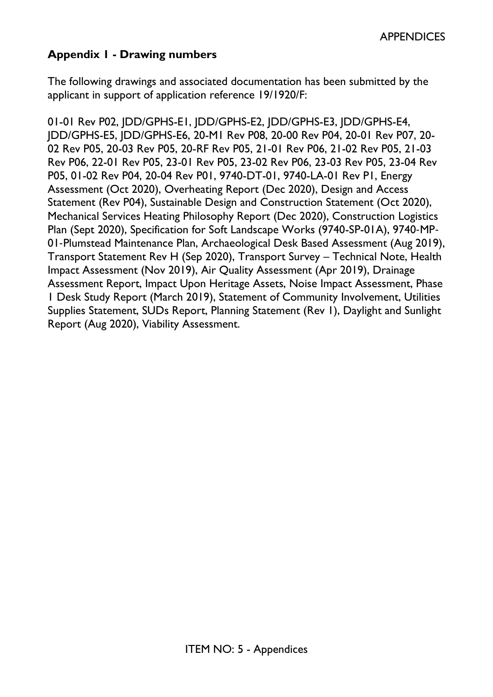### **Appendix 1 - Drawing numbers**

The following drawings and associated documentation has been submitted by the applicant in support of application reference 19/1920/F:

01-01 Rev P02, JDD/GPHS-E1, JDD/GPHS-E2, JDD/GPHS-E3, JDD/GPHS-E4, JDD/GPHS-E5, JDD/GPHS-E6, 20-M1 Rev P08, 20-00 Rev P04, 20-01 Rev P07, 20- 02 Rev P05, 20-03 Rev P05, 20-RF Rev P05, 21-01 Rev P06, 21-02 Rev P05, 21-03 Rev P06, 22-01 Rev P05, 23-01 Rev P05, 23-02 Rev P06, 23-03 Rev P05, 23-04 Rev P05, 01-02 Rev P04, 20-04 Rev P01, 9740-DT-01, 9740-LA-01 Rev P1, Energy Assessment (Oct 2020), Overheating Report (Dec 2020), Design and Access Statement (Rev P04), Sustainable Design and Construction Statement (Oct 2020), Mechanical Services Heating Philosophy Report (Dec 2020), Construction Logistics Plan (Sept 2020), Specification for Soft Landscape Works (9740-SP-01A), 9740‐MP‐ 01‐Plumstead Maintenance Plan, Archaeological Desk Based Assessment (Aug 2019), Transport Statement Rev H (Sep 2020), Transport Survey – Technical Note, Health Impact Assessment (Nov 2019), Air Quality Assessment (Apr 2019), Drainage Assessment Report, Impact Upon Heritage Assets, Noise Impact Assessment, Phase 1 Desk Study Report (March 2019), Statement of Community Involvement, Utilities Supplies Statement, SUDs Report, Planning Statement (Rev 1), Daylight and Sunlight Report (Aug 2020), Viability Assessment.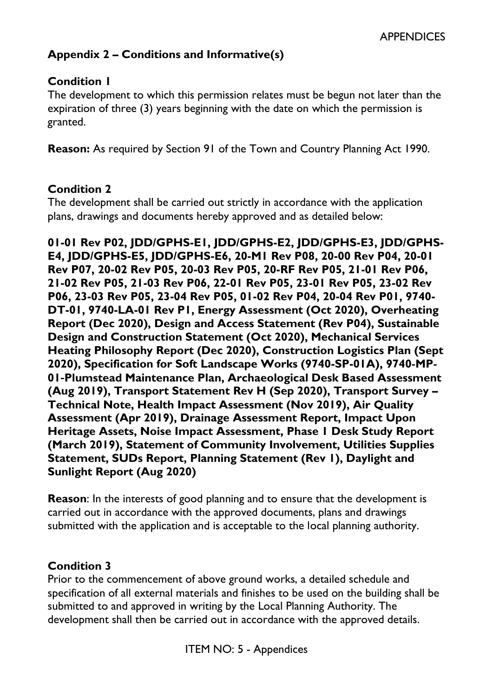## **Appendix 2 – Conditions and Informative(s)**

#### **Condition 1**

The development to which this permission relates must be begun not later than the expiration of three (3) years beginning with the date on which the permission is granted.

**Reason:** As required by Section 91 of the Town and Country Planning Act 1990.

#### **Condition 2**

The development shall be carried out strictly in accordance with the application plans, drawings and documents hereby approved and as detailed below:

**01-01 Rev P02, JDD/GPHS-E1, JDD/GPHS-E2, JDD/GPHS-E3, JDD/GPHS-E4, JDD/GPHS-E5, JDD/GPHS-E6, 20-M1 Rev P08, 20-00 Rev P04, 20-01 Rev P07, 20-02 Rev P05, 20-03 Rev P05, 20-RF Rev P05, 21-01 Rev P06, 21-02 Rev P05, 21-03 Rev P06, 22-01 Rev P05, 23-01 Rev P05, 23-02 Rev P06, 23-03 Rev P05, 23-04 Rev P05, 01-02 Rev P04, 20-04 Rev P01, 9740- DT-01, 9740-LA-01 Rev P1, Energy Assessment (Oct 2020), Overheating Report (Dec 2020), Design and Access Statement (Rev P04), Sustainable Design and Construction Statement (Oct 2020), Mechanical Services Heating Philosophy Report (Dec 2020), Construction Logistics Plan (Sept 2020), Specification for Soft Landscape Works (9740-SP-01A), 9740**‐**MP**‐ **01**‐**Plumstead Maintenance Plan, Archaeological Desk Based Assessment (Aug 2019), Transport Statement Rev H (Sep 2020), Transport Survey – Technical Note, Health Impact Assessment (Nov 2019), Air Quality Assessment (Apr 2019), Drainage Assessment Report, Impact Upon Heritage Assets, Noise Impact Assessment, Phase 1 Desk Study Report (March 2019), Statement of Community Involvement, Utilities Supplies Statement, SUDs Report, Planning Statement (Rev 1), Daylight and Sunlight Report (Aug 2020)** 

**Reason**: In the interests of good planning and to ensure that the development is carried out in accordance with the approved documents, plans and drawings submitted with the application and is acceptable to the local planning authority.

#### **Condition 3**

Prior to the commencement of above ground works, a detailed schedule and specification of all external materials and finishes to be used on the building shall be submitted to and approved in writing by the Local Planning Authority. The development shall then be carried out in accordance with the approved details.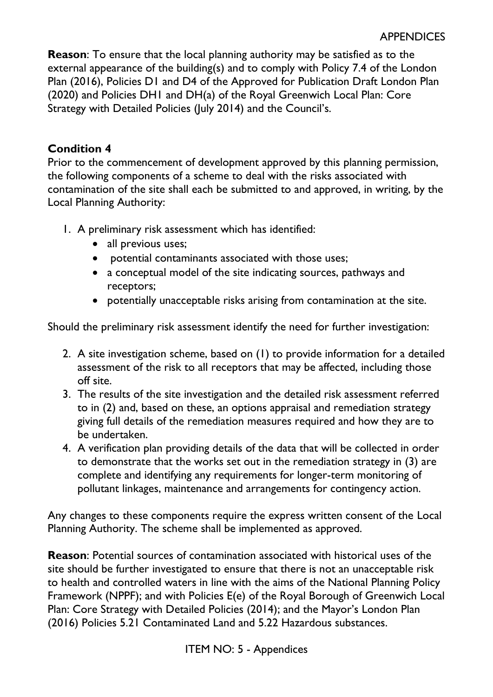**Reason**: To ensure that the local planning authority may be satisfied as to the external appearance of the building(s) and to comply with Policy 7.4 of the London Plan (2016), Policies D1 and D4 of the Approved for Publication Draft London Plan (2020) and Policies DH1 and DH(a) of the Royal Greenwich Local Plan: Core Strategy with Detailed Policies (July 2014) and the Council's.

### **Condition 4**

Prior to the commencement of development approved by this planning permission, the following components of a scheme to deal with the risks associated with contamination of the site shall each be submitted to and approved, in writing, by the Local Planning Authority:

- 1. A preliminary risk assessment which has identified:
	- all previous uses;
	- potential contaminants associated with those uses;
	- a conceptual model of the site indicating sources, pathways and receptors;
	- potentially unacceptable risks arising from contamination at the site.

Should the preliminary risk assessment identify the need for further investigation:

- 2. A site investigation scheme, based on (1) to provide information for a detailed assessment of the risk to all receptors that may be affected, including those off site.
- 3. The results of the site investigation and the detailed risk assessment referred to in (2) and, based on these, an options appraisal and remediation strategy giving full details of the remediation measures required and how they are to be undertaken.
- 4. A verification plan providing details of the data that will be collected in order to demonstrate that the works set out in the remediation strategy in (3) are complete and identifying any requirements for longer-term monitoring of pollutant linkages, maintenance and arrangements for contingency action.

Any changes to these components require the express written consent of the Local Planning Authority. The scheme shall be implemented as approved.

**Reason**: Potential sources of contamination associated with historical uses of the site should be further investigated to ensure that there is not an unacceptable risk to health and controlled waters in line with the aims of the National Planning Policy Framework (NPPF); and with Policies E(e) of the Royal Borough of Greenwich Local Plan: Core Strategy with Detailed Policies (2014); and the Mayor's London Plan (2016) Policies 5.21 Contaminated Land and 5.22 Hazardous substances.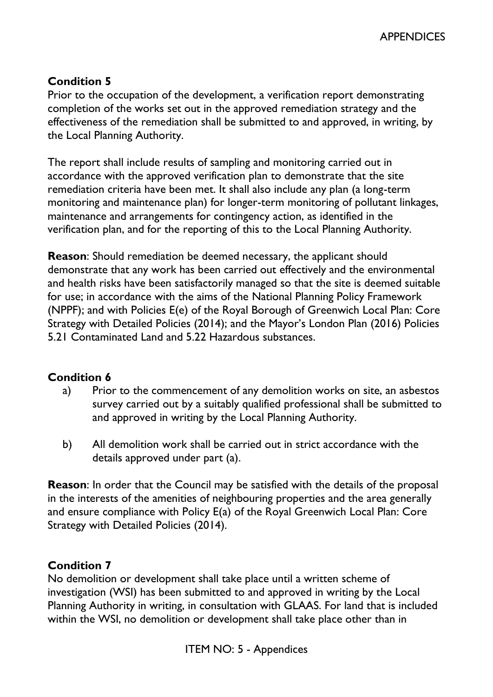### **Condition 5**

Prior to the occupation of the development, a verification report demonstrating completion of the works set out in the approved remediation strategy and the effectiveness of the remediation shall be submitted to and approved, in writing, by the Local Planning Authority.

The report shall include results of sampling and monitoring carried out in accordance with the approved verification plan to demonstrate that the site remediation criteria have been met. It shall also include any plan (a long-term monitoring and maintenance plan) for longer-term monitoring of pollutant linkages, maintenance and arrangements for contingency action, as identified in the verification plan, and for the reporting of this to the Local Planning Authority.

**Reason**: Should remediation be deemed necessary, the applicant should demonstrate that any work has been carried out effectively and the environmental and health risks have been satisfactorily managed so that the site is deemed suitable for use; in accordance with the aims of the National Planning Policy Framework (NPPF); and with Policies E(e) of the Royal Borough of Greenwich Local Plan: Core Strategy with Detailed Policies (2014); and the Mayor's London Plan (2016) Policies 5.21 Contaminated Land and 5.22 Hazardous substances.

### **Condition 6**

- a) Prior to the commencement of any demolition works on site, an asbestos survey carried out by a suitably qualified professional shall be submitted to and approved in writing by the Local Planning Authority.
- b) All demolition work shall be carried out in strict accordance with the details approved under part (a).

**Reason**: In order that the Council may be satisfied with the details of the proposal in the interests of the amenities of neighbouring properties and the area generally and ensure compliance with Policy E(a) of the Royal Greenwich Local Plan: Core Strategy with Detailed Policies (2014).

# **Condition 7**

No demolition or development shall take place until a written scheme of investigation (WSI) has been submitted to and approved in writing by the Local Planning Authority in writing, in consultation with GLAAS. For land that is included within the WSI, no demolition or development shall take place other than in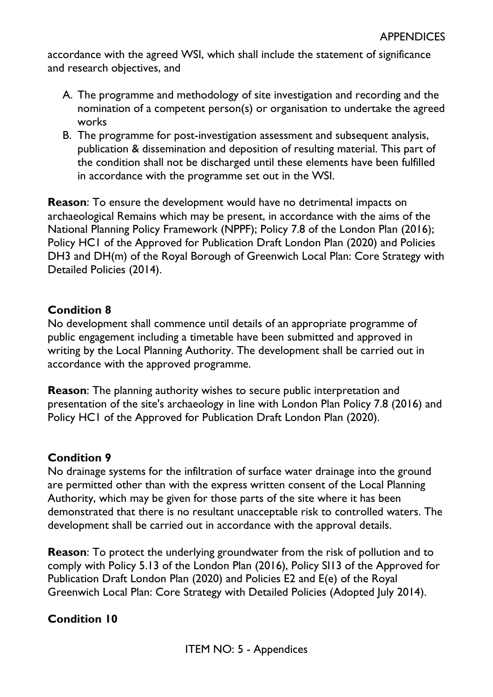accordance with the agreed WSI, which shall include the statement of significance and research objectives, and

- A. The programme and methodology of site investigation and recording and the nomination of a competent person(s) or organisation to undertake the agreed works
- B. The programme for post-investigation assessment and subsequent analysis, publication & dissemination and deposition of resulting material. This part of the condition shall not be discharged until these elements have been fulfilled in accordance with the programme set out in the WSI.

**Reason**: To ensure the development would have no detrimental impacts on archaeological Remains which may be present, in accordance with the aims of the National Planning Policy Framework (NPPF); Policy 7.8 of the London Plan (2016); Policy HC1 of the Approved for Publication Draft London Plan (2020) and Policies DH3 and DH(m) of the Royal Borough of Greenwich Local Plan: Core Strategy with Detailed Policies (2014).

### **Condition 8**

No development shall commence until details of an appropriate programme of public engagement including a timetable have been submitted and approved in writing by the Local Planning Authority. The development shall be carried out in accordance with the approved programme.

**Reason**: The planning authority wishes to secure public interpretation and presentation of the site's archaeology in line with London Plan Policy 7.8 (2016) and Policy HC1 of the Approved for Publication Draft London Plan (2020).

# **Condition 9**

No drainage systems for the infiltration of surface water drainage into the ground are permitted other than with the express written consent of the Local Planning Authority, which may be given for those parts of the site where it has been demonstrated that there is no resultant unacceptable risk to controlled waters. The development shall be carried out in accordance with the approval details.

**Reason**: To protect the underlying groundwater from the risk of pollution and to comply with Policy 5.13 of the London Plan (2016), Policy SI13 of the Approved for Publication Draft London Plan (2020) and Policies E2 and E(e) of the Royal Greenwich Local Plan: Core Strategy with Detailed Policies (Adopted July 2014).

# **Condition 10**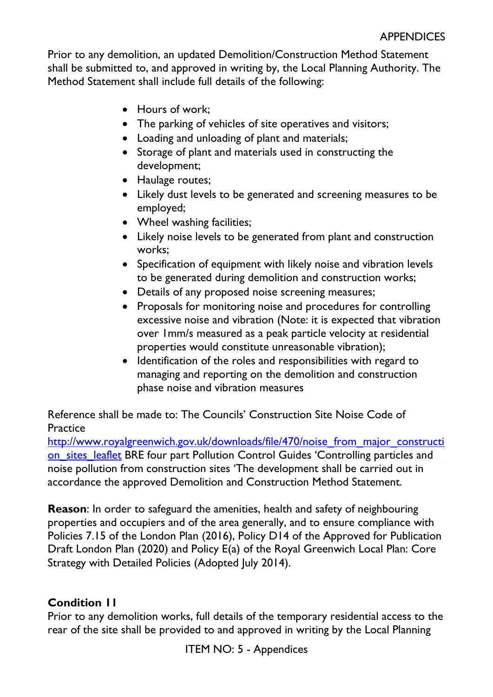Prior to any demolition, an updated Demolition/Construction Method Statement shall be submitted to, and approved in writing by, the Local Planning Authority. The Method Statement shall include full details of the following:

- Hours of work;
- The parking of vehicles of site operatives and visitors;
- Loading and unloading of plant and materials;
- Storage of plant and materials used in constructing the development;
- Haulage routes;
- Likely dust levels to be generated and screening measures to be employed;
- Wheel washing facilities;
- Likely noise levels to be generated from plant and construction works;
- Specification of equipment with likely noise and vibration levels to be generated during demolition and construction works;
- Details of any proposed noise screening measures;
- Proposals for monitoring noise and procedures for controlling excessive noise and vibration (Note: it is expected that vibration over 1mm/s measured as a peak particle velocity at residential properties would constitute unreasonable vibration);
- Identification of the roles and responsibilities with regard to managing and reporting on the demolition and construction phase noise and vibration measures

Reference shall be made to: The Councils' Construction Site Noise Code of **Practice** 

[http://www.royalgreenwich.gov.uk/downloads/file/470/noise\\_from\\_major\\_constructi](http://www.royalgreenwich.gov.uk/downloads/file/470/noise_from_major_construction_sites_leaflet) on sites leaflet BRE four part Pollution Control Guides 'Controlling particles and noise pollution from construction sites 'The development shall be carried out in accordance the approved Demolition and Construction Method Statement.

**Reason**: In order to safeguard the amenities, health and safety of neighbouring properties and occupiers and of the area generally, and to ensure compliance with Policies 7.15 of the London Plan (2016), Policy D14 of the Approved for Publication Draft London Plan (2020) and Policy E(a) of the Royal Greenwich Local Plan: Core Strategy with Detailed Policies (Adopted July 2014).

### **Condition 11**

Prior to any demolition works, full details of the temporary residential access to the rear of the site shall be provided to and approved in writing by the Local Planning

ITEM NO: 5 - Appendices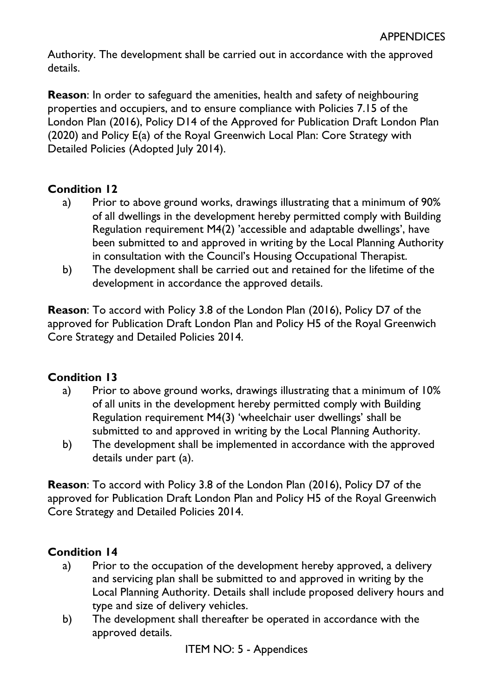Authority. The development shall be carried out in accordance with the approved details.

**Reason**: In order to safeguard the amenities, health and safety of neighbouring properties and occupiers, and to ensure compliance with Policies 7.15 of the London Plan (2016), Policy D14 of the Approved for Publication Draft London Plan (2020) and Policy E(a) of the Royal Greenwich Local Plan: Core Strategy with Detailed Policies (Adopted July 2014).

# **Condition 12**

- a) Prior to above ground works, drawings illustrating that a minimum of 90% of all dwellings in the development hereby permitted comply with Building Regulation requirement M4(2) 'accessible and adaptable dwellings', have been submitted to and approved in writing by the Local Planning Authority in consultation with the Council's Housing Occupational Therapist.
- b) The development shall be carried out and retained for the lifetime of the development in accordance the approved details.

**Reason**: To accord with Policy 3.8 of the London Plan (2016), Policy D7 of the approved for Publication Draft London Plan and Policy H5 of the Royal Greenwich Core Strategy and Detailed Policies 2014.

# **Condition 13**

- a) Prior to above ground works, drawings illustrating that a minimum of 10% of all units in the development hereby permitted comply with Building Regulation requirement M4(3) 'wheelchair user dwellings' shall be submitted to and approved in writing by the Local Planning Authority.
- b) The development shall be implemented in accordance with the approved details under part (a).

**Reason**: To accord with Policy 3.8 of the London Plan (2016), Policy D7 of the approved for Publication Draft London Plan and Policy H5 of the Royal Greenwich Core Strategy and Detailed Policies 2014.

# **Condition 14**

- a) Prior to the occupation of the development hereby approved, a delivery and servicing plan shall be submitted to and approved in writing by the Local Planning Authority. Details shall include proposed delivery hours and type and size of delivery vehicles.
- b) The development shall thereafter be operated in accordance with the approved details.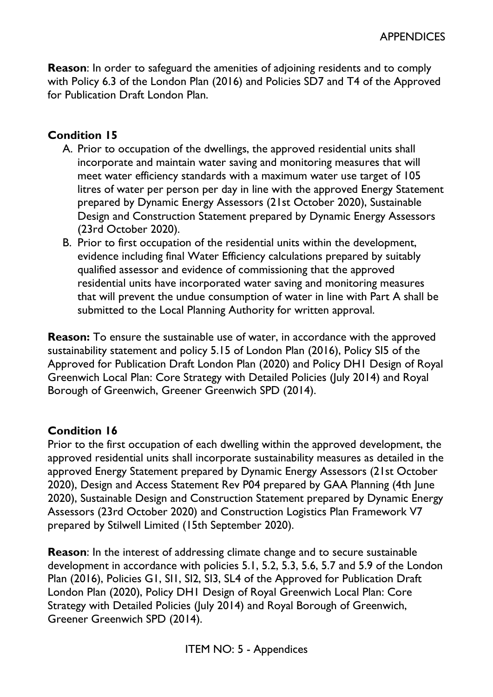**Reason**: In order to safeguard the amenities of adjoining residents and to comply with Policy 6.3 of the London Plan (2016) and Policies SD7 and T4 of the Approved for Publication Draft London Plan.

### **Condition 15**

- A. Prior to occupation of the dwellings, the approved residential units shall incorporate and maintain water saving and monitoring measures that will meet water efficiency standards with a maximum water use target of 105 litres of water per person per day in line with the approved Energy Statement prepared by Dynamic Energy Assessors (21st October 2020), Sustainable Design and Construction Statement prepared by Dynamic Energy Assessors (23rd October 2020).
- B. Prior to first occupation of the residential units within the development, evidence including final Water Efficiency calculations prepared by suitably qualified assessor and evidence of commissioning that the approved residential units have incorporated water saving and monitoring measures that will prevent the undue consumption of water in line with Part A shall be submitted to the Local Planning Authority for written approval.

**Reason:** To ensure the sustainable use of water, in accordance with the approved sustainability statement and policy 5.15 of London Plan (2016), Policy SI5 of the Approved for Publication Draft London Plan (2020) and Policy DH1 Design of Royal Greenwich Local Plan: Core Strategy with Detailed Policies (July 2014) and Royal Borough of Greenwich, Greener Greenwich SPD (2014).

### **Condition 16**

Prior to the first occupation of each dwelling within the approved development, the approved residential units shall incorporate sustainability measures as detailed in the approved Energy Statement prepared by Dynamic Energy Assessors (21st October 2020), Design and Access Statement Rev P04 prepared by GAA Planning (4th June 2020), Sustainable Design and Construction Statement prepared by Dynamic Energy Assessors (23rd October 2020) and Construction Logistics Plan Framework V7 prepared by Stilwell Limited (15th September 2020).

**Reason**: In the interest of addressing climate change and to secure sustainable development in accordance with policies 5.1, 5.2, 5.3, 5.6, 5.7 and 5.9 of the London Plan (2016), Policies G1, SI1, SI2, SI3, SL4 of the Approved for Publication Draft London Plan (2020), Policy DH1 Design of Royal Greenwich Local Plan: Core Strategy with Detailed Policies (July 2014) and Royal Borough of Greenwich, Greener Greenwich SPD (2014).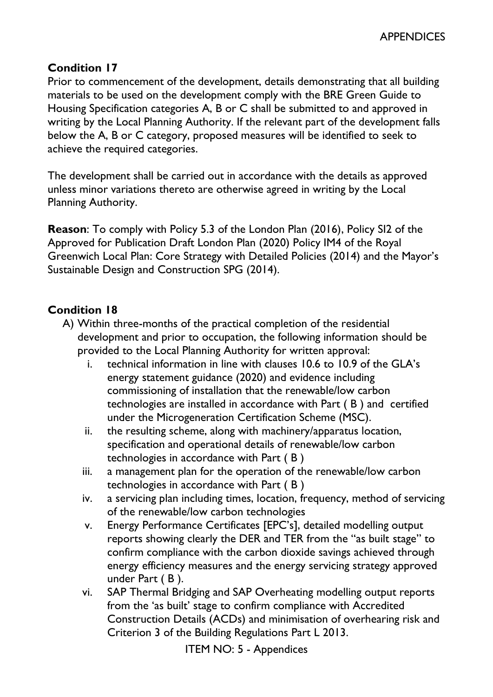### **Condition 17**

Prior to commencement of the development, details demonstrating that all building materials to be used on the development comply with the BRE Green Guide to Housing Specification categories A, B or C shall be submitted to and approved in writing by the Local Planning Authority. If the relevant part of the development falls below the A, B or C category, proposed measures will be identified to seek to achieve the required categories.

The development shall be carried out in accordance with the details as approved unless minor variations thereto are otherwise agreed in writing by the Local Planning Authority.

**Reason**: To comply with Policy 5.3 of the London Plan (2016), Policy SI2 of the Approved for Publication Draft London Plan (2020) Policy IM4 of the Royal Greenwich Local Plan: Core Strategy with Detailed Policies (2014) and the Mayor's Sustainable Design and Construction SPG (2014).

### **Condition 18**

- A) Within three-months of the practical completion of the residential development and prior to occupation, the following information should be provided to the Local Planning Authority for written approval:
	- i. technical information in line with clauses 10.6 to 10.9 of the GLA's energy statement guidance (2020) and evidence including commissioning of installation that the renewable/low carbon technologies are installed in accordance with Part ( B ) and certified under the Microgeneration Certification Scheme (MSC).
	- ii. the resulting scheme, along with machinery/apparatus location, specification and operational details of renewable/low carbon technologies in accordance with Part ( B )
	- iii. a management plan for the operation of the renewable/low carbon technologies in accordance with Part ( B )
	- iv. a servicing plan including times, location, frequency, method of servicing of the renewable/low carbon technologies
	- v. Energy Performance Certificates [EPC's], detailed modelling output reports showing clearly the DER and TER from the "as built stage" to confirm compliance with the carbon dioxide savings achieved through energy efficiency measures and the energy servicing strategy approved under Part ( B ).
	- vi. SAP Thermal Bridging and SAP Overheating modelling output reports from the 'as built' stage to confirm compliance with Accredited Construction Details (ACDs) and minimisation of overhearing risk and Criterion 3 of the Building Regulations Part L 2013.

ITEM NO: 5 - Appendices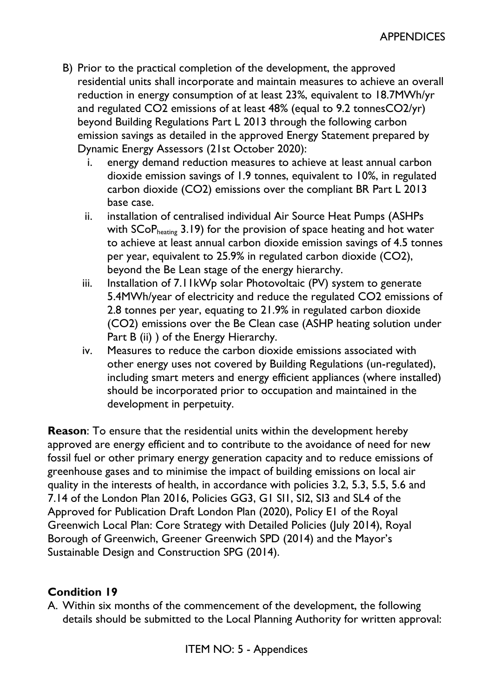- B) Prior to the practical completion of the development, the approved residential units shall incorporate and maintain measures to achieve an overall reduction in energy consumption of at least 23%, equivalent to 18.7MWh/yr and regulated CO2 emissions of at least 48% (equal to 9.2 tonnesCO2/yr) beyond Building Regulations Part L 2013 through the following carbon emission savings as detailed in the approved Energy Statement prepared by Dynamic Energy Assessors (21st October 2020):
	- i. energy demand reduction measures to achieve at least annual carbon dioxide emission savings of 1.9 tonnes, equivalent to 10%, in regulated carbon dioxide (CO2) emissions over the compliant BR Part L 2013 base case.
	- ii. installation of centralised individual Air Source Heat Pumps (ASHPs with  $SCoP<sub>heating</sub>$  3.19) for the provision of space heating and hot water to achieve at least annual carbon dioxide emission savings of 4.5 tonnes per year, equivalent to 25.9% in regulated carbon dioxide (CO2), beyond the Be Lean stage of the energy hierarchy.
	- iii. Installation of 7.11kWp solar Photovoltaic (PV) system to generate 5.4MWh/year of electricity and reduce the regulated CO2 emissions of 2.8 tonnes per year, equating to 21.9% in regulated carbon dioxide (CO2) emissions over the Be Clean case (ASHP heating solution under Part B (ii) ) of the Energy Hierarchy.
	- iv. Measures to reduce the carbon dioxide emissions associated with other energy uses not covered by Building Regulations (un-regulated), including smart meters and energy efficient appliances (where installed) should be incorporated prior to occupation and maintained in the development in perpetuity.

**Reason**: To ensure that the residential units within the development hereby approved are energy efficient and to contribute to the avoidance of need for new fossil fuel or other primary energy generation capacity and to reduce emissions of greenhouse gases and to minimise the impact of building emissions on local air quality in the interests of health, in accordance with policies 3.2, 5.3, 5.5, 5.6 and 7.14 of the London Plan 2016, Policies GG3, G1 SI1, SI2, SI3 and SL4 of the Approved for Publication Draft London Plan (2020), Policy E1 of the Royal Greenwich Local Plan: Core Strategy with Detailed Policies (July 2014), Royal Borough of Greenwich, Greener Greenwich SPD (2014) and the Mayor's Sustainable Design and Construction SPG (2014).

### **Condition 19**

A. Within six months of the commencement of the development, the following details should be submitted to the Local Planning Authority for written approval: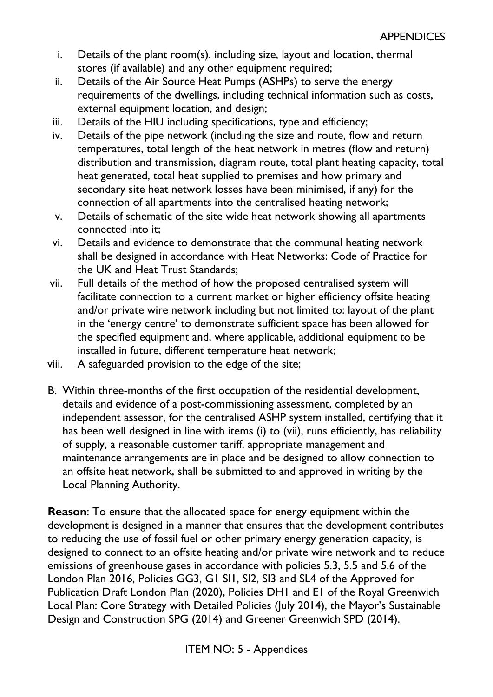- i. Details of the plant room(s), including size, layout and location, thermal stores (if available) and any other equipment required;
- ii. Details of the Air Source Heat Pumps (ASHPs) to serve the energy requirements of the dwellings, including technical information such as costs, external equipment location, and design;
- iii. Details of the HIU including specifications, type and efficiency;
- iv. Details of the pipe network (including the size and route, flow and return temperatures, total length of the heat network in metres (flow and return) distribution and transmission, diagram route, total plant heating capacity, total heat generated, total heat supplied to premises and how primary and secondary site heat network losses have been minimised, if any) for the connection of all apartments into the centralised heating network;
- v. Details of schematic of the site wide heat network showing all apartments connected into it;
- vi. Details and evidence to demonstrate that the communal heating network shall be designed in accordance with Heat Networks: Code of Practice for the UK and Heat Trust Standards;
- vii. Full details of the method of how the proposed centralised system will facilitate connection to a current market or higher efficiency offsite heating and/or private wire network including but not limited to: layout of the plant in the 'energy centre' to demonstrate sufficient space has been allowed for the specified equipment and, where applicable, additional equipment to be installed in future, different temperature heat network;
- viii. A safeguarded provision to the edge of the site;
- B. Within three-months of the first occupation of the residential development, details and evidence of a post-commissioning assessment, completed by an independent assessor, for the centralised ASHP system installed, certifying that it has been well designed in line with items (i) to (vii), runs efficiently, has reliability of supply, a reasonable customer tariff, appropriate management and maintenance arrangements are in place and be designed to allow connection to an offsite heat network, shall be submitted to and approved in writing by the Local Planning Authority.

**Reason**: To ensure that the allocated space for energy equipment within the development is designed in a manner that ensures that the development contributes to reducing the use of fossil fuel or other primary energy generation capacity, is designed to connect to an offsite heating and/or private wire network and to reduce emissions of greenhouse gases in accordance with policies 5.3, 5.5 and 5.6 of the London Plan 2016, Policies GG3, G1 SI1, SI2, SI3 and SL4 of the Approved for Publication Draft London Plan (2020), Policies DH1 and E1 of the Royal Greenwich Local Plan: Core Strategy with Detailed Policies (July 2014), the Mayor's Sustainable Design and Construction SPG (2014) and Greener Greenwich SPD (2014).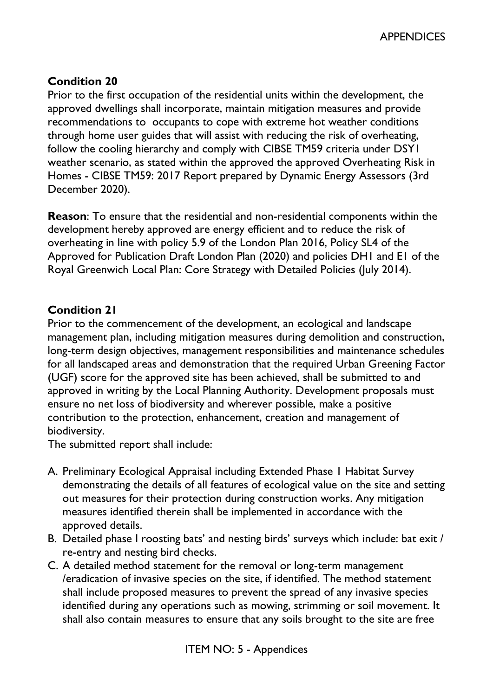# **Condition 20**

Prior to the first occupation of the residential units within the development, the approved dwellings shall incorporate, maintain mitigation measures and provide recommendations to occupants to cope with extreme hot weather conditions through home user guides that will assist with reducing the risk of overheating, follow the cooling hierarchy and comply with CIBSE TM59 criteria under DSY1 weather scenario, as stated within the approved the approved Overheating Risk in Homes - CIBSE TM59: 2017 Report prepared by Dynamic Energy Assessors (3rd December 2020).

**Reason**: To ensure that the residential and non-residential components within the development hereby approved are energy efficient and to reduce the risk of overheating in line with policy 5.9 of the London Plan 2016, Policy SL4 of the Approved for Publication Draft London Plan (2020) and policies DH1 and E1 of the Royal Greenwich Local Plan: Core Strategy with Detailed Policies (July 2014).

# **Condition 21**

Prior to the commencement of the development, an ecological and landscape management plan, including mitigation measures during demolition and construction, long-term design objectives, management responsibilities and maintenance schedules for all landscaped areas and demonstration that the required Urban Greening Factor (UGF) score for the approved site has been achieved, shall be submitted to and approved in writing by the Local Planning Authority. Development proposals must ensure no net loss of biodiversity and wherever possible, make a positive contribution to the protection, enhancement, creation and management of biodiversity.

The submitted report shall include:

- A. Preliminary Ecological Appraisal including Extended Phase 1 Habitat Survey demonstrating the details of all features of ecological value on the site and setting out measures for their protection during construction works. Any mitigation measures identified therein shall be implemented in accordance with the approved details.
- B. Detailed phase I roosting bats' and nesting birds' surveys which include: bat exit / re-entry and nesting bird checks.
- C. A detailed method statement for the removal or long-term management /eradication of invasive species on the site, if identified. The method statement shall include proposed measures to prevent the spread of any invasive species identified during any operations such as mowing, strimming or soil movement. It shall also contain measures to ensure that any soils brought to the site are free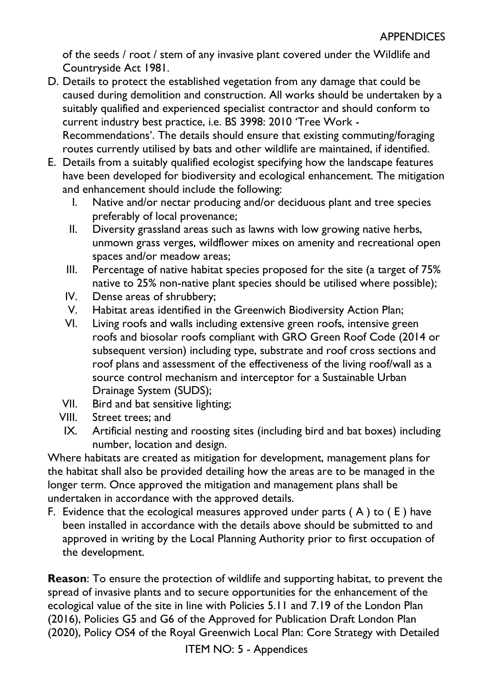of the seeds / root / stem of any invasive plant covered under the Wildlife and Countryside Act 1981.

- D. Details to protect the established vegetation from any damage that could be caused during demolition and construction. All works should be undertaken by a suitably qualified and experienced specialist contractor and should conform to current industry best practice, i.e. BS 3998: 2010 'Tree Work - Recommendations'. The details should ensure that existing commuting/foraging routes currently utilised by bats and other wildlife are maintained, if identified.
- E. Details from a suitably qualified ecologist specifying how the landscape features have been developed for biodiversity and ecological enhancement. The mitigation and enhancement should include the following:
	- I. Native and/or nectar producing and/or deciduous plant and tree species preferably of local provenance;
	- II. Diversity grassland areas such as lawns with low growing native herbs, unmown grass verges, wildflower mixes on amenity and recreational open spaces and/or meadow areas;
	- III. Percentage of native habitat species proposed for the site (a target of 75% native to 25% non-native plant species should be utilised where possible);
	- IV. Dense areas of shrubbery;
	- V. Habitat areas identified in the Greenwich Biodiversity Action Plan;
	- VI. Living roofs and walls including extensive green roofs, intensive green roofs and biosolar roofs compliant with GRO Green Roof Code (2014 or subsequent version) including type, substrate and roof cross sections and roof plans and assessment of the effectiveness of the living roof/wall as a source control mechanism and interceptor for a Sustainable Urban Drainage System (SUDS);
	- VII. Bird and bat sensitive lighting;
	- VIII. Street trees; and
	- IX. Artificial nesting and roosting sites (including bird and bat boxes) including number, location and design.

Where habitats are created as mitigation for development, management plans for the habitat shall also be provided detailing how the areas are to be managed in the longer term. Once approved the mitigation and management plans shall be undertaken in accordance with the approved details.

F. Evidence that the ecological measures approved under parts  $(A)$  to  $(E)$  have been installed in accordance with the details above should be submitted to and approved in writing by the Local Planning Authority prior to first occupation of the development.

**Reason**: To ensure the protection of wildlife and supporting habitat, to prevent the spread of invasive plants and to secure opportunities for the enhancement of the ecological value of the site in line with Policies 5.11 and 7.19 of the London Plan (2016), Policies G5 and G6 of the Approved for Publication Draft London Plan (2020), Policy OS4 of the Royal Greenwich Local Plan: Core Strategy with Detailed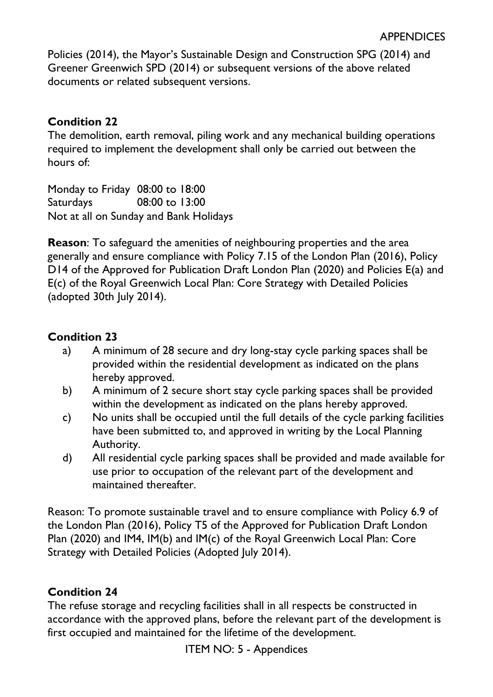Policies (2014), the Mayor's Sustainable Design and Construction SPG (2014) and Greener Greenwich SPD (2014) or subsequent versions of the above related documents or related subsequent versions.

### **Condition 22**

The demolition, earth removal, piling work and any mechanical building operations required to implement the development shall only be carried out between the hours of:

Monday to Friday 08:00 to 18:00 Saturdays 08:00 to 13:00 Not at all on Sunday and Bank Holidays

**Reason**: To safeguard the amenities of neighbouring properties and the area generally and ensure compliance with Policy 7.15 of the London Plan (2016), Policy D14 of the Approved for Publication Draft London Plan (2020) and Policies E(a) and E(c) of the Royal Greenwich Local Plan: Core Strategy with Detailed Policies (adopted 30th July 2014).

### **Condition 23**

- a) A minimum of 28 secure and dry long-stay cycle parking spaces shall be provided within the residential development as indicated on the plans hereby approved.
- b) A minimum of 2 secure short stay cycle parking spaces shall be provided within the development as indicated on the plans hereby approved.
- c) No units shall be occupied until the full details of the cycle parking facilities have been submitted to, and approved in writing by the Local Planning Authority.
- d) All residential cycle parking spaces shall be provided and made available for use prior to occupation of the relevant part of the development and maintained thereafter.

Reason: To promote sustainable travel and to ensure compliance with Policy 6.9 of the London Plan (2016), Policy T5 of the Approved for Publication Draft London Plan (2020) and IM4, IM(b) and IM(c) of the Royal Greenwich Local Plan: Core Strategy with Detailed Policies (Adopted July 2014).

# **Condition 24**

The refuse storage and recycling facilities shall in all respects be constructed in accordance with the approved plans, before the relevant part of the development is first occupied and maintained for the lifetime of the development.

ITEM NO: 5 - Appendices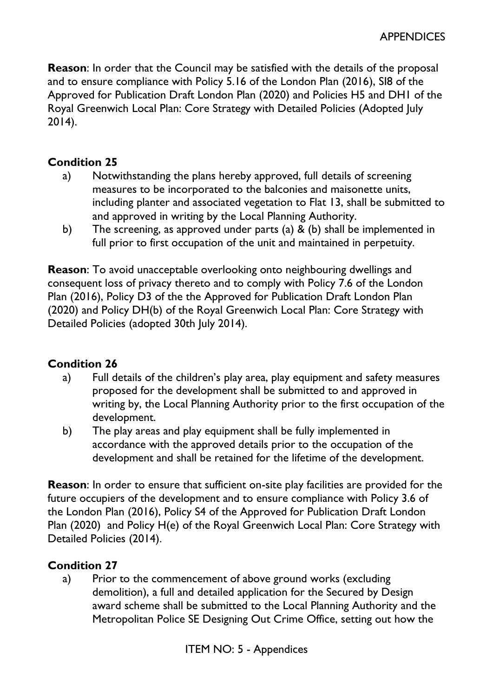**Reason**: In order that the Council may be satisfied with the details of the proposal and to ensure compliance with Policy 5.16 of the London Plan (2016), SI8 of the Approved for Publication Draft London Plan (2020) and Policies H5 and DH1 of the Royal Greenwich Local Plan: Core Strategy with Detailed Policies (Adopted July 2014).

### **Condition 25**

- a) Notwithstanding the plans hereby approved, full details of screening measures to be incorporated to the balconies and maisonette units, including planter and associated vegetation to Flat 13, shall be submitted to and approved in writing by the Local Planning Authority.
- b) The screening, as approved under parts (a) & (b) shall be implemented in full prior to first occupation of the unit and maintained in perpetuity.

**Reason**: To avoid unacceptable overlooking onto neighbouring dwellings and consequent loss of privacy thereto and to comply with Policy 7.6 of the London Plan (2016), Policy D3 of the the Approved for Publication Draft London Plan (2020) and Policy DH(b) of the Royal Greenwich Local Plan: Core Strategy with Detailed Policies (adopted 30th July 2014).

### **Condition 26**

- a) Full details of the children's play area, play equipment and safety measures proposed for the development shall be submitted to and approved in writing by, the Local Planning Authority prior to the first occupation of the development.
- b) The play areas and play equipment shall be fully implemented in accordance with the approved details prior to the occupation of the development and shall be retained for the lifetime of the development.

**Reason**: In order to ensure that sufficient on-site play facilities are provided for the future occupiers of the development and to ensure compliance with Policy 3.6 of the London Plan (2016), Policy S4 of the Approved for Publication Draft London Plan (2020) and Policy H(e) of the Royal Greenwich Local Plan: Core Strategy with Detailed Policies (2014).

### **Condition 27**

a) Prior to the commencement of above ground works (excluding demolition), a full and detailed application for the Secured by Design award scheme shall be submitted to the Local Planning Authority and the Metropolitan Police SE Designing Out Crime Office, setting out how the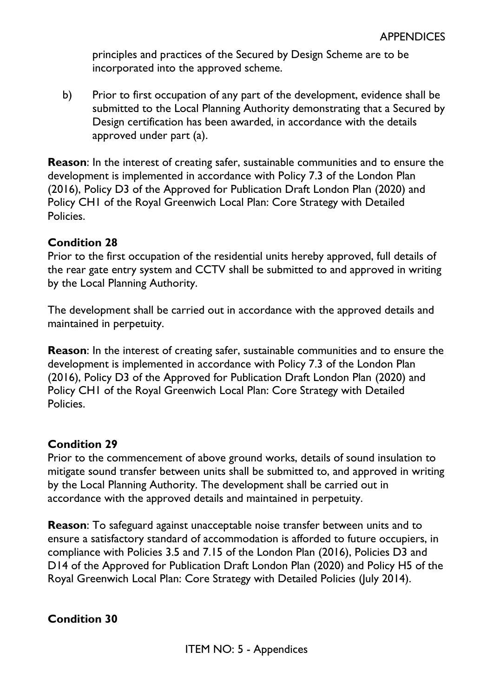principles and practices of the Secured by Design Scheme are to be incorporated into the approved scheme.

b) Prior to first occupation of any part of the development, evidence shall be submitted to the Local Planning Authority demonstrating that a Secured by Design certification has been awarded, in accordance with the details approved under part (a).

**Reason**: In the interest of creating safer, sustainable communities and to ensure the development is implemented in accordance with Policy 7.3 of the London Plan (2016), Policy D3 of the Approved for Publication Draft London Plan (2020) and Policy CH1 of the Royal Greenwich Local Plan: Core Strategy with Detailed Policies.

#### **Condition 28**

Prior to the first occupation of the residential units hereby approved, full details of the rear gate entry system and CCTV shall be submitted to and approved in writing by the Local Planning Authority.

The development shall be carried out in accordance with the approved details and maintained in perpetuity.

**Reason**: In the interest of creating safer, sustainable communities and to ensure the development is implemented in accordance with Policy 7.3 of the London Plan (2016), Policy D3 of the Approved for Publication Draft London Plan (2020) and Policy CH1 of the Royal Greenwich Local Plan: Core Strategy with Detailed **Policies** 

### **Condition 29**

Prior to the commencement of above ground works, details of sound insulation to mitigate sound transfer between units shall be submitted to, and approved in writing by the Local Planning Authority. The development shall be carried out in accordance with the approved details and maintained in perpetuity.

**Reason**: To safeguard against unacceptable noise transfer between units and to ensure a satisfactory standard of accommodation is afforded to future occupiers, in compliance with Policies 3.5 and 7.15 of the London Plan (2016), Policies D3 and D14 of the Approved for Publication Draft London Plan (2020) and Policy H5 of the Royal Greenwich Local Plan: Core Strategy with Detailed Policies (July 2014).

### **Condition 30**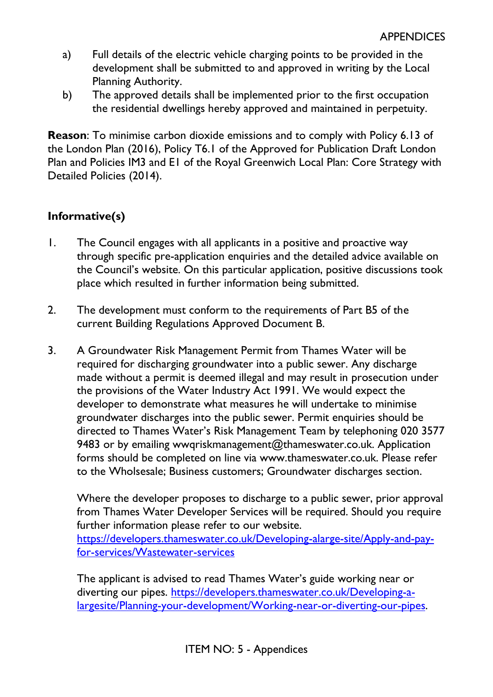- a) Full details of the electric vehicle charging points to be provided in the development shall be submitted to and approved in writing by the Local Planning Authority.
- b) The approved details shall be implemented prior to the first occupation the residential dwellings hereby approved and maintained in perpetuity.

**Reason**: To minimise carbon dioxide emissions and to comply with Policy 6.13 of the London Plan (2016), Policy T6.1 of the Approved for Publication Draft London Plan and Policies IM3 and E1 of the Royal Greenwich Local Plan: Core Strategy with Detailed Policies (2014).

# **Informative(s)**

- 1. The Council engages with all applicants in a positive and proactive way through specific pre-application enquiries and the detailed advice available on the Council's website. On this particular application, positive discussions took place which resulted in further information being submitted.
- 2. The development must conform to the requirements of Part B5 of the current Building Regulations Approved Document B.
- 3. A Groundwater Risk Management Permit from Thames Water will be required for discharging groundwater into a public sewer. Any discharge made without a permit is deemed illegal and may result in prosecution under the provisions of the Water Industry Act 1991. We would expect the developer to demonstrate what measures he will undertake to minimise groundwater discharges into the public sewer. Permit enquiries should be directed to Thames Water's Risk Management Team by telephoning 020 3577 9483 or by emailing wwqriskmanagement@thameswater.co.uk. Application forms should be completed on line via www.thameswater.co.uk. Please refer to the Wholsesale; Business customers; Groundwater discharges section.

Where the developer proposes to discharge to a public sewer, prior approval from Thames Water Developer Services will be required. Should you require further information please refer to our website. [https://developers.thameswater.co.uk/Developing-alarge-site/Apply-and-pay](https://developers.thameswater.co.uk/Developing-alarge-site/Apply-and-pay-for-services/Wastewater-services)[for-services/Wastewater-services](https://developers.thameswater.co.uk/Developing-alarge-site/Apply-and-pay-for-services/Wastewater-services)

The applicant is advised to read Thames Water's guide working near or diverting our pipes. [https://developers.thameswater.co.uk/Developing-a](https://developers.thameswater.co.uk/Developing-a-largesite/Planning-your-development/Working-near-or-diverting-our-pipes)[largesite/Planning-your-development/Working-near-or-diverting-our-pipes.](https://developers.thameswater.co.uk/Developing-a-largesite/Planning-your-development/Working-near-or-diverting-our-pipes)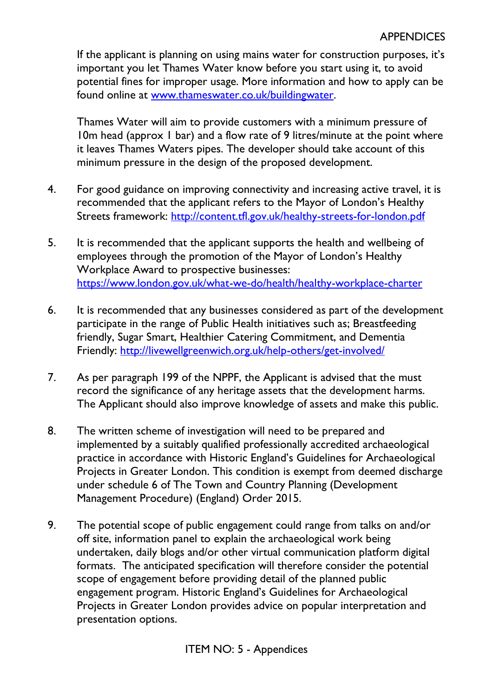If the applicant is planning on using mains water for construction purposes, it's important you let Thames Water know before you start using it, to avoid potential fines for improper usage. More information and how to apply can be found online at [www.thameswater.co.uk/buildingwater.](http://www.thameswater.co.uk/buildingwater)

Thames Water will aim to provide customers with a minimum pressure of 10m head (approx 1 bar) and a flow rate of 9 litres/minute at the point where it leaves Thames Waters pipes. The developer should take account of this minimum pressure in the design of the proposed development.

- 4. For good guidance on improving connectivity and increasing active travel, it is recommended that the applicant refers to the Mayor of London's Healthy Streets framework:<http://content.tfl.gov.uk/healthy-streets-for-london.pdf>
- 5. It is recommended that the applicant supports the health and wellbeing of employees through the promotion of the Mayor of London's Healthy Workplace Award to prospective businesses: <https://www.london.gov.uk/what-we-do/health/healthy-workplace-charter>
- 6. It is recommended that any businesses considered as part of the development participate in the range of Public Health initiatives such as; Breastfeeding friendly, Sugar Smart, Healthier Catering Commitment, and Dementia Friendly:<http://livewellgreenwich.org.uk/help-others/get-involved/>
- 7. As per paragraph 199 of the NPPF, the Applicant is advised that the must record the significance of any heritage assets that the development harms. The Applicant should also improve knowledge of assets and make this public.
- 8. The written scheme of investigation will need to be prepared and implemented by a suitably qualified professionally accredited archaeological practice in accordance with Historic England's Guidelines for Archaeological Projects in Greater London. This condition is exempt from deemed discharge under schedule 6 of The Town and Country Planning (Development Management Procedure) (England) Order 2015.
- 9. The potential scope of public engagement could range from talks on and/or off site, information panel to explain the archaeological work being undertaken, daily blogs and/or other virtual communication platform digital formats. The anticipated specification will therefore consider the potential scope of engagement before providing detail of the planned public engagement program. Historic England's Guidelines for Archaeological Projects in Greater London provides advice on popular interpretation and presentation options.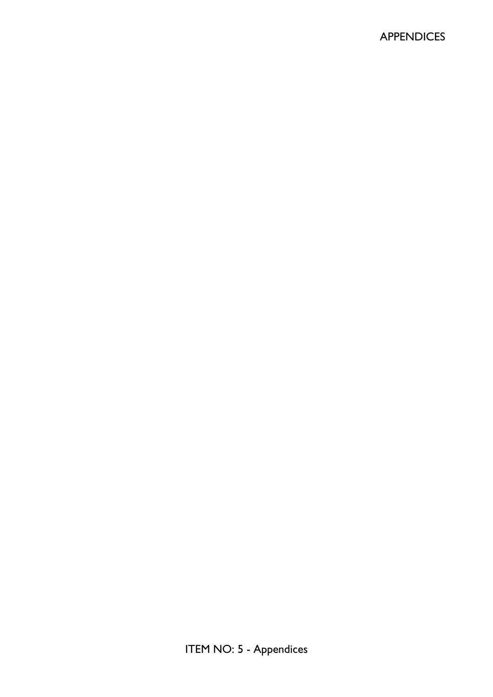# APPENDICES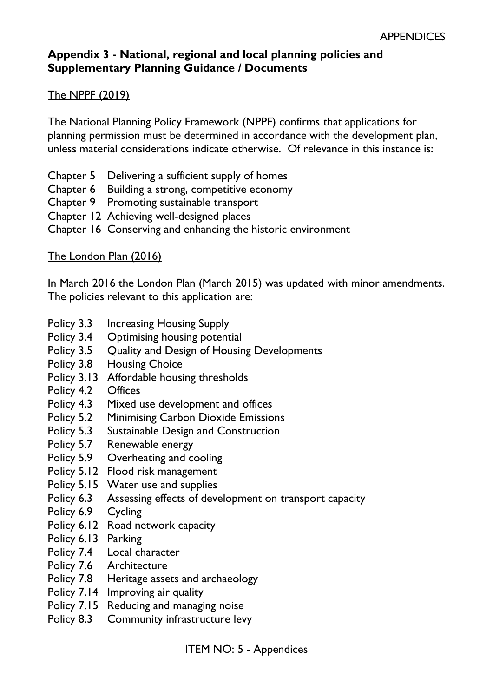# **Appendix 3 - National, regional and local planning policies and Supplementary Planning Guidance / Documents**

### The NPPF (2019)

The National Planning Policy Framework (NPPF) confirms that applications for planning permission must be determined in accordance with the development plan, unless material considerations indicate otherwise. Of relevance in this instance is:

- Chapter 5 Delivering a sufficient supply of homes
- Chapter 6 Building a strong, competitive economy
- Chapter 9 Promoting sustainable transport
- Chapter 12 Achieving well-designed places
- Chapter 16 Conserving and enhancing the historic environment

### The London Plan (2016)

In March 2016 the London Plan (March 2015) was updated with minor amendments. The policies relevant to this application are:

- Policy 3.3 Increasing Housing Supply
- Policy 3.4 Optimising housing potential
- Policy 3.5 Quality and Design of Housing Developments
- Policy 3.8 Housing Choice
- Policy 3.13 Affordable housing thresholds
- Policy 4.2 Offices
- Policy 4.3 Mixed use development and offices
- Policy 5.2 Minimising Carbon Dioxide Emissions
- Policy 5.3 Sustainable Design and Construction
- Policy 5.7 Renewable energy
- Policy 5.9 Overheating and cooling
- Policy 5.12 Flood risk management
- Policy 5.15 Water use and supplies
- Policy 6.3 Assessing effects of development on transport capacity
- Policy 6.9 Cycling
- Policy 6.12 Road network capacity
- Policy 6.13 Parking
- Policy 7.4 Local character
- Policy 7.6 Architecture
- Policy 7.8 Heritage assets and archaeology
- Policy 7.14 Improving air quality
- Policy 7.15 Reducing and managing noise
- Policy 8.3 Community infrastructure levy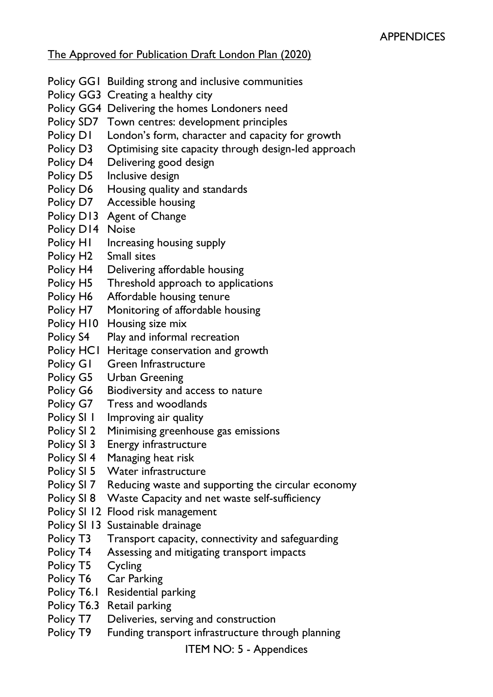The Approved for Publication Draft London Plan (2020)

- Policy GG1 Building strong and inclusive communities
- Policy GG3 Creating a healthy city
- Policy GG4 Delivering the homes Londoners need
- Policy SD7 Town centres: development principles
- Policy D1 London's form, character and capacity for growth
- Policy D3 Optimising site capacity through design-led approach
- Policy D4 Delivering good design
- Policy D5 Inclusive design
- Policy D6 Housing quality and standards
- Policy D7 Accessible housing
- Policy D13 Agent of Change
- Policy D14 Noise
- Policy H<sub>1</sub> Increasing housing supply
- Policy H2 Small sites
- Policy H4 Delivering affordable housing
- Policy H5 Threshold approach to applications
- Policy H6 Affordable housing tenure
- Policy H7 Monitoring of affordable housing
- Policy H10 Housing size mix
- Policy S4 Play and informal recreation
- Policy HC1 Heritage conservation and growth
- Policy G1 Green Infrastructure
- Policy G5 Urban Greening
- Policy G6 Biodiversity and access to nature
- Policy G7 Tress and woodlands
- Policy SI 1 Improving air quality
- Policy SI 2 Minimising greenhouse gas emissions
- Policy SI 3 Energy infrastructure
- Policy SI 4 Managing heat risk
- Policy SI 5 Water infrastructure
- Policy SI 7 Reducing waste and supporting the circular economy
- Policy SI 8 Waste Capacity and net waste self-sufficiency
- Policy SI 12 Flood risk management
- Policy SI 13 Sustainable drainage
- Policy T3 Transport capacity, connectivity and safeguarding
- Policy T4 Assessing and mitigating transport impacts
- Policy T5 Cycling
- Policy T6 Car Parking
- Policy T6.1 Residential parking
- Policy T6.3 Retail parking
- Policy T7 Deliveries, serving and construction
- Policy T9 Funding transport infrastructure through planning